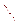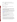### **AGENCY:** ENVIRONMENTAL PROTECTION AGENCY (EPA)

**TITLE: Partnership for Clean Indoor Air Outreach, Communication and Education** 

ACTION: Request for Proposals (RFP)

**RFP:** EPA-OAR-ORIA-08-03

**CFDA:** 66.034

**SUMMARY:** Formal Agency responses to questions regarding the subject RFP

**DATE: February 28, 2008**

### *Q1: Concerning this RFP, is Mexico considered a developing country? Will another opportunity present itself anytime soon and are there somewhat similar projects that would fit with our minority border community?*

**A1:** Yes, Mexico is considered a developing country for this RFP. As far as pending and future grant opportunities, we really can not say because of the uncertainty of our budget resources. However, you can find all Federal Agency's grant opportunities on [www.grants.gov](http://www.grants.gov/) and also you can contact our EPA Region 6, the El Paso Border Office located in Dallas, Texas at (214) 665-3102.

## *Q2: Would Thailand be qualified as a developing country of interest in this solicitation?*

**A2:** Yes, Thailand would be qualified as a developing country of interest in this solicitation since according to the World Health Organization, more than 50% of the households in Thailand use solid fuel for cooking.

## *Q3: Clarify whether our Non-Profit Organization operating in North West Tanzania would be eligible for this RFP?*

**A3:** Eligible non-profits are listed in the above referenced RFP as the following,

Non-profit organization, as defined by OMB Circular A-122, located at 2 CFR Part 230, means any corporation, trust, association, cooperative, or other organization which: (1) is operated primarily for scientific, educational, service, charitable, or similar purposes in the public interest; (2) is not organized primarily for profit; and (3) uses its net proceeds to maintain, improve, and/or expand its operations. For this purpose, the term "non-profit organization" excludes (i) colleges and universities; (ii) hospitals; (iii) state, local, and federally-recognized Indian tribal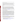governments; and (iv) those non-profit organizations which are excluded from coverage of this part in accordance with § 230.20(c)

Your organization must meet the definition of a 501c3 non-profit as described above. As stated in the RFP, USEPA anticipates awarding a cooperative agreement to one organization to increase the exchange of information and action among the diverse group of more than 160 international organizations that are members of the Partnership for Clean Indoor Air.

# *Q4: Do you have any criteria for selecting a developing country for partnership for this grant?*

**A4.** The selection criteria can be found in the RFP's Section V. Proposal Review Information. There is no specific criterion for the country location of the host organization. EPA anticipates selecting one organization to promote the exchange of information and action among the network of 160 international Partner organizations through electronic media (e.g., quarterly news bulletins, website), capacity building workshops, and global forums. For more information on the activities of the Partnership for Clean Indoor Air, please visit www.PCIAonline.org.

# **Q5:** *I am an Environmental Director which serves 22 tribes and operates in the US, am I off-base in considering this grant?*

**A5:** While Indian Tribes are eligible to apply for this grant in accordance with CFDA 66.034 (see Section III Eligibility Information as listed in the RFP), the mission of the Partnership for Clean Indoor Air is to reduce indoor air pollution from home cooking practices in developing countries. This grant opportunity supports the U.S. Government's global environmental health commitment made at the United Nations World Summit on Sustainable Development to address the burning of biomass and coal indoors, often in open fires or rudimentary, unvented stoves, in developing countries. EPA anticipates selecting one organization to promote the exchange of information and action among the 160 international Partner organizations working in more than 50 countries through electronic media (e.g., quarterly news bulletins, website), capacity building workshops, and global forums. For more information on the activities of the Partnership for Clean Indoor Air, please visit www.PCIAonline.org.

While the above request for proposals supports work in developing countries, the EPA recognizes that indoor air pollution is also of concern here in the United States, and has resources and grant opportunities available to support domestic programs. You can learn more about these resources on the following EPA websites:

- Indoor air quality (e.g., asthma, schools, radon) at http://www.epa.gov/iaq
- Community Action for Renewed Environment which is currently seeking request for proposals at http://www.epa.gov/care/
- American Indian Tribal Portal at http://www.epa.gov/tribal/